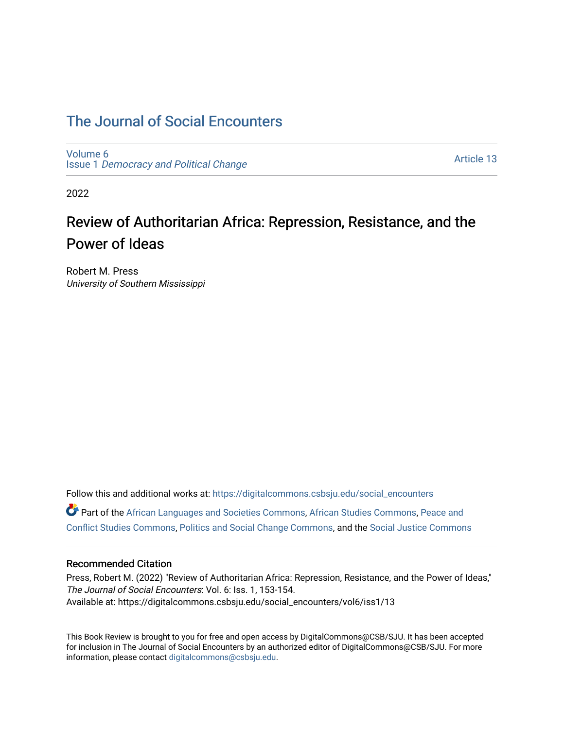# [The Journal of Social Encounters](https://digitalcommons.csbsju.edu/social_encounters)

[Volume 6](https://digitalcommons.csbsju.edu/social_encounters/vol6) Issue 1 [Democracy and Political Change](https://digitalcommons.csbsju.edu/social_encounters/vol6/iss1) 

[Article 13](https://digitalcommons.csbsju.edu/social_encounters/vol6/iss1/13) 

2022

# Review of Authoritarian Africa: Repression, Resistance, and the Power of Ideas

Robert M. Press University of Southern Mississippi

Follow this and additional works at: [https://digitalcommons.csbsju.edu/social\\_encounters](https://digitalcommons.csbsju.edu/social_encounters?utm_source=digitalcommons.csbsju.edu%2Fsocial_encounters%2Fvol6%2Fiss1%2F13&utm_medium=PDF&utm_campaign=PDFCoverPages)  Part of the [African Languages and Societies Commons,](http://network.bepress.com/hgg/discipline/476?utm_source=digitalcommons.csbsju.edu%2Fsocial_encounters%2Fvol6%2Fiss1%2F13&utm_medium=PDF&utm_campaign=PDFCoverPages) [African Studies Commons](http://network.bepress.com/hgg/discipline/1043?utm_source=digitalcommons.csbsju.edu%2Fsocial_encounters%2Fvol6%2Fiss1%2F13&utm_medium=PDF&utm_campaign=PDFCoverPages), [Peace and](http://network.bepress.com/hgg/discipline/397?utm_source=digitalcommons.csbsju.edu%2Fsocial_encounters%2Fvol6%2Fiss1%2F13&utm_medium=PDF&utm_campaign=PDFCoverPages) [Conflict Studies Commons,](http://network.bepress.com/hgg/discipline/397?utm_source=digitalcommons.csbsju.edu%2Fsocial_encounters%2Fvol6%2Fiss1%2F13&utm_medium=PDF&utm_campaign=PDFCoverPages) [Politics and Social Change Commons,](http://network.bepress.com/hgg/discipline/425?utm_source=digitalcommons.csbsju.edu%2Fsocial_encounters%2Fvol6%2Fiss1%2F13&utm_medium=PDF&utm_campaign=PDFCoverPages) and the [Social Justice Commons](http://network.bepress.com/hgg/discipline/1432?utm_source=digitalcommons.csbsju.edu%2Fsocial_encounters%2Fvol6%2Fiss1%2F13&utm_medium=PDF&utm_campaign=PDFCoverPages)

#### Recommended Citation

Press, Robert M. (2022) "Review of Authoritarian Africa: Repression, Resistance, and the Power of Ideas," The Journal of Social Encounters: Vol. 6: Iss. 1, 153-154. Available at: https://digitalcommons.csbsju.edu/social\_encounters/vol6/iss1/13

This Book Review is brought to you for free and open access by DigitalCommons@CSB/SJU. It has been accepted for inclusion in The Journal of Social Encounters by an authorized editor of DigitalCommons@CSB/SJU. For more information, please contact [digitalcommons@csbsju.edu.](mailto:digitalcommons@csbsju.edu)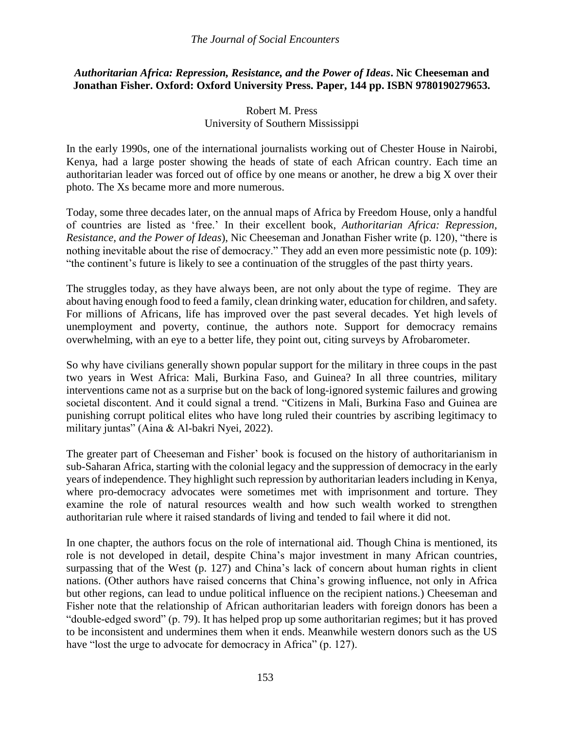### *The Journal of Social Encounters*

# *Authoritarian Africa: Repression, Resistance, and the Power of Ideas***. Nic Cheeseman and Jonathan Fisher. Oxford: Oxford University Press. Paper, 144 pp. ISBN 9780190279653.**

# Robert M. Press University of Southern Mississippi

In the early 1990s, one of the international journalists working out of Chester House in Nairobi, Kenya, had a large poster showing the heads of state of each African country. Each time an authoritarian leader was forced out of office by one means or another, he drew a big X over their photo. The Xs became more and more numerous.

Today, some three decades later, on the annual maps of Africa by Freedom House, only a handful of countries are listed as 'free.' In their excellent book, *Authoritarian Africa: Repression, Resistance, and the Power of Ideas*), Nic Cheeseman and Jonathan Fisher write (p. 120), "there is nothing inevitable about the rise of democracy." They add an even more pessimistic note (p. 109): "the continent's future is likely to see a continuation of the struggles of the past thirty years.

The struggles today, as they have always been, are not only about the type of regime. They are about having enough food to feed a family, clean drinking water, education for children, and safety. For millions of Africans, life has improved over the past several decades. Yet high levels of unemployment and poverty, continue, the authors note. Support for democracy remains overwhelming, with an eye to a better life, they point out, citing surveys by Afrobarometer.

So why have civilians generally shown popular support for the military in three coups in the past two years in West Africa: Mali, Burkina Faso, and Guinea? In all three countries, military interventions came not as a surprise but on the back of long-ignored systemic failures and growing societal discontent. And it could signal a trend. "Citizens in Mali, Burkina Faso and Guinea are punishing corrupt political elites who have long ruled their countries by ascribing legitimacy to military juntas" (Aina & Al-bakri Nyei, 2022).

The greater part of Cheeseman and Fisher' book is focused on the history of authoritarianism in sub-Saharan Africa, starting with the colonial legacy and the suppression of democracy in the early years of independence. They highlight such repression by authoritarian leaders including in Kenya, where pro-democracy advocates were sometimes met with imprisonment and torture. They examine the role of natural resources wealth and how such wealth worked to strengthen authoritarian rule where it raised standards of living and tended to fail where it did not.

In one chapter, the authors focus on the role of international aid. Though China is mentioned, its role is not developed in detail, despite China's major investment in many African countries, surpassing that of the West (p. 127) and China's lack of concern about human rights in client nations. (Other authors have raised concerns that China's growing influence, not only in Africa but other regions, can lead to undue political influence on the recipient nations.) Cheeseman and Fisher note that the relationship of African authoritarian leaders with foreign donors has been a "double-edged sword" (p. 79). It has helped prop up some authoritarian regimes; but it has proved to be inconsistent and undermines them when it ends. Meanwhile western donors such as the US have "lost the urge to advocate for democracy in Africa" (p. 127).